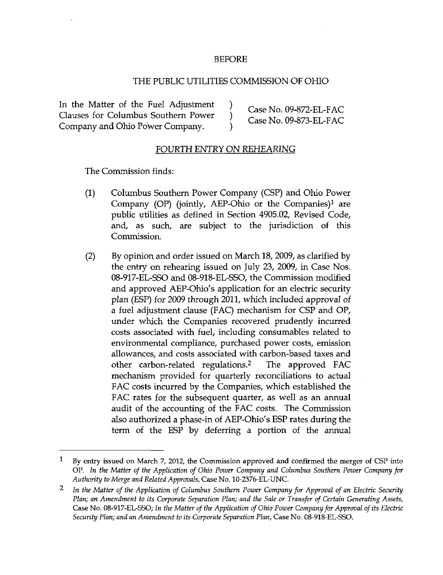## BEFORE

## THE PUBLIC UTILITIES COMMISSION OF OHIO

In the Matter of the Fuel Adjustment )  $\qquad \qquad$  Case No. 09-872-EL-FAC \_ r ^ , . ^ J ^ i Case No. 09-872-EL-FAC Qauses for Columbus Southern Power ) ,- XT nr» orro TT T-A^ ^ . ^1 . T^ • ^ i Case No. 09-873-EL-FAC Company and Ohio Power Company. )

## FOURTH ENTRY ON REHEARING

The Commission finds:

- (1) Columbus Southern Power Company (CSP) and Ohio Power Company (OP) (jointly, AEP-Ohio or the Companies)<sup>1</sup> are public utilities as defined in Section 4905.02, Revised Code, and, as such, are subject to the jurisdiction of this Commission.
- (2) By opinion and order issued on March 18, 2009, as clarified by the entry on rehearing issued on July 23, 2009, in Case Nos. 08-917-EL-SSO and 08-918-EL-SSO, the Commission modified arid approved AEP-Ohio's application for an electric security plan (ESP) for 2009 through 2011, which included approval of a fuel adjustment clause (FAC) mechanism for CSP and OP, under which the Companies recovered prudently incurred costs associated with fuel, including consumables related to environmental compliance, purchased power costs, emission allowances, and costs associated with carbon-based taxes and other carbon-related regulations.<sup>2</sup> The approved FAC mechanism provided for quarterly reconciliations to actual FAC costs incurred by the Companies, which established the FAC rates for the subsequent quarter, as well as an annual audit of the accounting of the FAC costs. The Commission also authorized a phase-in of AEP-Ohio's ESP rates during the term of the ESP by deferring a portion of the annual

 $\mathbf{I}$ By entry issued on March 7, 2012, the Commission approved and confirmed the merger of CSF into OP. In the Matter of the Application of Ohio Power Company and Columbus Southern Power Company for Authority to Merge and Related Approvals, Case No. 10-2376-EL-UNC.

<sup>2</sup> In the Matter of the Application of Columbus Southern Power Company for Approval of an Electric Security Plan; an Amendment to its Corporate Separation Plan; and the Sale or Transfer of Certain Generating Assets, Case No. 08-917-EL-SSO; In the Matter of the Application of Ohio Power Company for Approval of its Electric Security Plan; and an Amendment to its Corporate Separation Plan, Case No. 08-918-EL-SSO.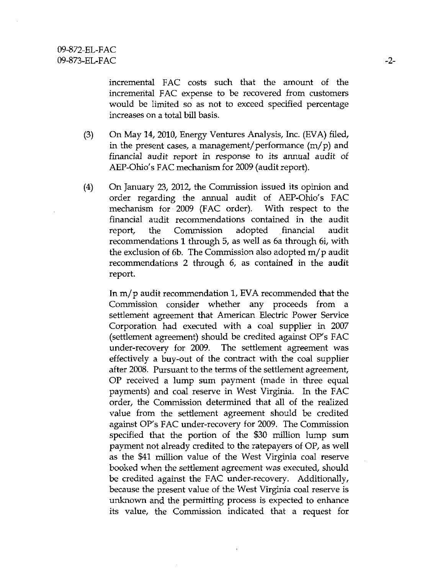incremental FAC costs such that the amount of the incremental FAC expense to be recovered from customers would be limited so as not to exceed specified percentage increases on a total bill basis.

- (3) On May 14, 2010, Energy Ventures Analysis, Inc. (EVA) filed, in the present cases, a management/performance  $(m/p)$  and financial audit report in response to its armual audit of AEP-Ohio's FAC mechanism for 2009 (audit report),
- (4) On January 23, 2012, the Commission issued its opinion and order regarding the annual audit of AEP-Ohio's FAC mechanism for 2009 (FAC order). With respect to the financial audit recommendations contained in the audit report, the Commission adopted financial audit recommendations 1 through 5, as well as 6a through 6i, with the exclusion of 6b. The Commission also adopted m/ p audit recommendations 2 through 6, as contained in the audit report.

In m/ p audit recommendation 1, EVA recommended that the Commission consider whether any proceeds from a settlement agreement that American Electric Power Service Corporation had executed with a coal supplier in 2007 (settlement agreement) should be credited against OP's FAC under-recovery for 2009. The settiement agreement was effectively a buy-out of the contract with the coal supplier after 2008. Pursuant to the terms of the settlement agreement, OP received a lump sum payment (made in three equal payments) and coal reserve in West Virginia. In the FAC order, the Commission determined that all of the realized value from the settiement agreement should be credited against OP's FAC under-recovery for 2009. The Commission specified that the portion of the \$30 million lump sum payment not already credited to the ratepayers of OP, as well as the \$41 million value of the West Virginia coal reserve booked when the settlement agreement was executed, should be credited against the FAC under-recovery. Additionally, because the present value of the West Virginia coal reserve is unknown and the permitting process is expected to enhance its value, the Commission indicated that a request for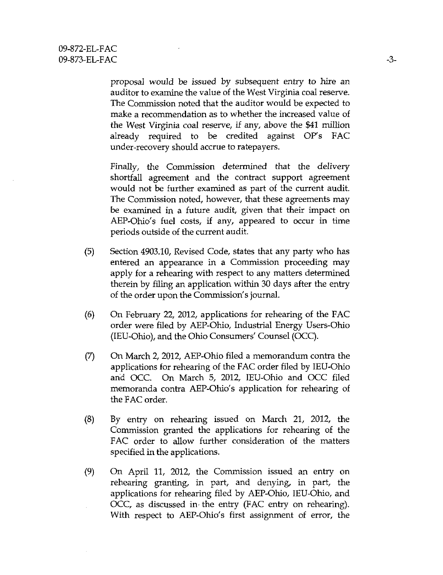proposal would be issued by subsequent entry to hire an auditor to examine the value of the West Virginia coal reserve. The Commission noted that the auditor would be expected to make a recommendation as to whether the increased value of the West Virginia coal reserve, if any, above the \$41 million already required to be credited against OP's FAC under-recovery should accrue to ratepayers.

Finally, the Commission determined that the delivery shortfall agreement and the contract support agreement would not be further examined as part of the current audit. The Commission noted, however, that these agreements may be examined in a future audit, given that their impact on AEP-Ohio's fuel costs, if any, appeared to occur in time periods outside of the current audit.

- (5) Section 4903.10, Revised Code, states that any party who has entered an appearance in a Commission proceeding may apply for a rehearing with respect to any matters determined therein by filing an application within 30 days after the entry of the order upon the Commission's journal.
- (6) On February 22, 2012, applications for rehearing of the FAC order were filed by AEP-Ohio, Industrial Energy Users-Ohio (lEU-Ohio), and the Ohio Consumers' Counsel (OCC).
- (7) On March 2, 2012, AEP-Ohio filed a memorandum contra the applications for rehearing of the FAC order filed by lEU-Ohio and OCC. On March 5, 2012, lEU-Ohio and OCC filed memoranda contra AEP-Ohio's application for rehearing of the FAC order.
- (8) By entry on rehearing issued on March 21, 2012, the Commission granted the applications for rehearing of the FAC order to allow further consideration of the matters specified in the applications.
- (9) On April 11, 2012, the Commission issued an entry on rehearing granting, in part, and denying, in part, the applications for rehearing filed by AEP-Ohio, lEU-Ohio, and OCC, as discussed in-the entry (FAC entry on rehearing). With respect to AEP-Ohio's first assignment of error, the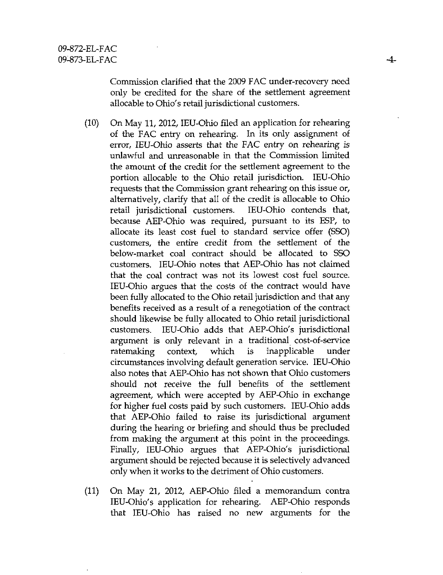Commission clarified that the 2009 FAC under-recovery need only be credited for the share of the settlement agreement allocable to Ohio's retail jurisdictional customers.

- (10) On May 11, 2012, lEU-Ohio filed an application for rehearing of the FAC entry on rehearing. In its only assignment of error, lEU-Ohio asserts that the FAC entry on rehearing is unlawful and unreasonable in that the Commission limited the amount of the credit for the settiement agreement to the portion allocable to the Ohio retail jurisdiction. lEU-Ohio requests that the Commission grant rehearing on this issue or, alternatively, clarify that all of the credit is allocable to Ohio retail jurisdictional customers. lEU-Ohio contends that, because AEP-Ohio was required, pursuant to its ESP, to allocate its least cost fuel to standard service offer (SSO) customers, the entire credit from the settlement of the below-market coal contract should be allocated to SSO customers. lEU-Ohio notes that AEP-Ohio has not claimed that the coal contract was not its lowest cost fuel source. lEU-Ohio argues that the costs of the contract would have been fully allocated to the Ohio retail jurisdiction and that any benefits received as a result of a renegotiation of the contract should likewise be fully allocated to Ohio retail jurisdictional customers. lEU-Ohio adds that AEP-Ohio's jurisdictional argument is only relevant in a traditional cost-of-service ratemaking context, which is inapplicable under circumstances involving default generation service. lEU-Ohio also notes that AEP-Ohio has not shown that Ohio customers should not receive the full benefits of the settiement agreement, which were accepted by AEP-Ohio in exchange for higher fuel costs paid by such customers. lEU-Ohio adds that AEP-Ohio failed to raise its jurisdictional argument during the hearing or briefing and should thus be precluded from making the argument at this point in the proceedings. Finally, lEU-Ohio argues that AEP-Ohio's jurisdictional argument should be rejected because it is selectively advanced only when it works to the detriment of Ohio customers.
- (11) On May 21, 2012, AEP-Ohio filed a memorandimi contra lEU-Ohio's application for rehearing. AEP-Ohio responds that lEU-Ohio has raised no new arguments for the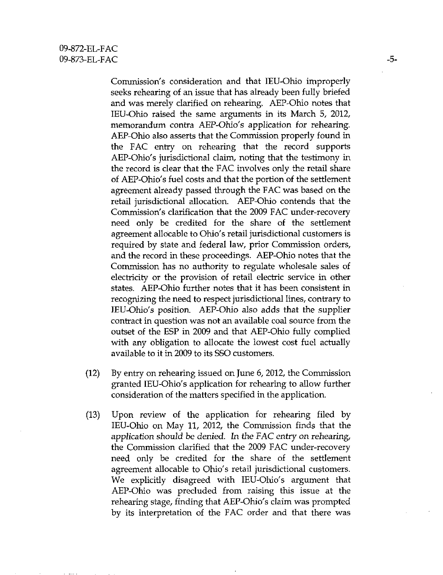Commission's consideration and that lEU-Ohio improperly seeks rehearing of an issue that has already been fully briefed and was merely clarified on rehearing, AEP-Ohio notes that lEU-Ohio raised the same arguments tn its March 5, 2012, memorandum contra AEP-Ohio's application for rehearing. AEP-Ohio also asserts that the Commission properly found in the FAC entry on rehearing that the record supports AEP-Ohio's jurisdictional claim, noting that the testimony in the record is clear that the FAC involves only the retail share of AEP-Ohio's fuel costs and that the portion of the settlement agreement already passed through the FAC was based on the retail jurisdictional allocation. AEP-Ohio contends that the Commission's clarification that the 2009 FAC under-recovery need only be credited for the share of the settlement agreement allocable to Ohio's retail jurisdictional customers is required by state and federal law, prior Commission orders, and the record in these proceedings. AEP-Ohio notes that the Commission has no authority to regulate wholesale sales of electricity or the provision of retail electric service in other states. AEP-Ohio further notes that it has been consistent in recognizing the need to respect jurisdictional lines, contrary to lEU-Ohio's position. AEP-Ohio also adds that the supplier contract in question was not an available coal source from the outset of the ESP in 2009 and that AEP-Ohio fully complied with any obligation to allocate the lowest cost fuel actually available to it in 2009 to its SSO customers.

- (12) By entry on rehearing issued on June 6, 2012, the Commission granted lEU-Ohio's application for rehearing to allow further consideration of the matters specified in the application.
- (13) Upon review of the application for rehearing filed by lEU-Ohio on May 11, 2012, the Commission finds that the application should be denied. In the FAC entry on rehearing, the Commission clarified that the 2009 FAC under-recovery need only be credited for the share of the settlement agreement allocable to Ohio's retail jurisdictional customers. We explicitly disagreed with lEU-Ohio's argument that AEP-Ohio was precluded from raising this issue at the rehearing stage, finding that AEP-Ohio's claim was prompted by its interpretation of the FAC order and that there was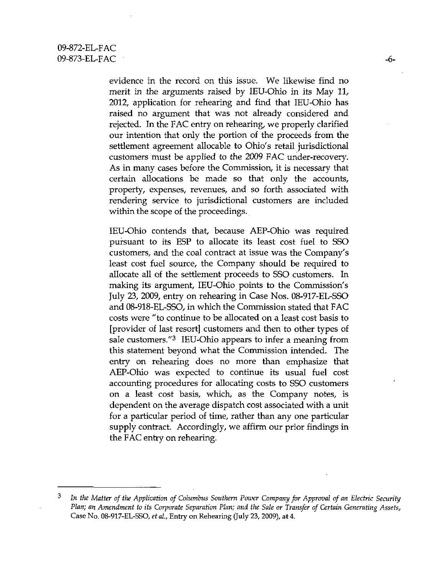evidence in the record on this issue. We likewise find no merit in the arguments raised by lEU-Ohio in its May 11, 2012, application for rehearing and find that lEU-Ohio has raised no argument that was not already considered and rejected. In the FAC entry on rehearing, we properly clarified our intention that only the portion of the proceeds from the settlement agreement allocable to Ohio's retail jurisdictional customers must be applied to the 2009 FAC under-recovery. As in many cases before the Commission, it is necessary that certain allocations be made so that only the accounts, property, expenses, revenues, and so forth associated with rendering service to jurisdictional customers are included within the scope of the proceedings.

lEU-Ohio contends that, because AEP-Ohio was required pursuant to its ESP to allocate its least cost fuel to SSO customers, and the coal contract at issue was the Company's least cost fuel source, the Company should be required to allocate all of the settlement proceeds to SSO customers. In making its argument, lEU-Ohio points to the Commission's July 23, 2009, entry on rehearing in Case Nos. 08-917-EL-SSO and 08-918-EL-SSO, in which the Commission stated that FAC costs were "to continue to be allocated on a least cost basis to [provider of last resort] customers and then to other types of sale customers."<sup>3</sup> IEU-Ohio appears to infer a meaning from this statement beyond what the Commission intended. The entry on rehearing does no more than emphasize that AEP-Ohio was expected to continue its usual fuel cost accounting procedures for allocating costs to SSO customers on a least cost basis, which, as the Company notes, is dependent on the average dispatch cost associated with a unit for a particular period of time, rather than any one particular supply contract. Accordingly, we affirm our prior findings in the FAC entry on rehearing.

<sup>3</sup> In the Matter of the Application of Columbus Southern Power Company for Approval of an Electric Security Plan; an Amendment to its Corporate Separation Plan; and the Sale or Transfer of Certain Generating Assets, Case No. 08-917-EL-SSO, et al., Entry on Rehearing (July 23, 2009), at 4.